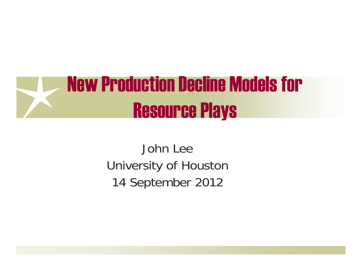

John LeeUniversity of Houston 14 September 2012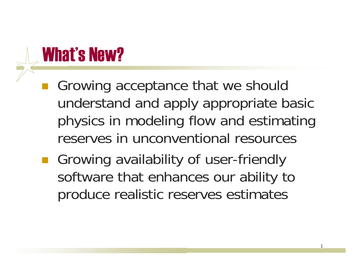### What's New?

- Growing acceptance that we should understand and apply appropriate basic physics in modeling flow and estimating reserves in unconventional resources
- **Growing availability of user-friendly** software that enhances our ability to produce realistic reserves estimates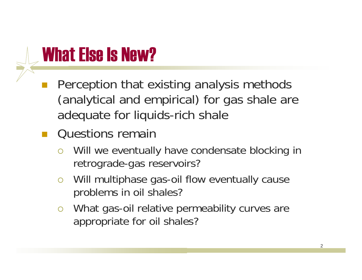#### What Else Is New?

- Perception that existing analysis methods (analytical and empirical) for gas shale are adequate for liquids-rich shale
- Questions remain
	- $\overline{O}$  Will we eventually have condensate blocking in retrograde-gas reservoirs?
	- $\overline{O}$  Will multiphase gas-oil flow eventually cause problems in oil shales?
	- $\bigcirc$  What gas-oil relative permeability curves are appropriate for oil shales?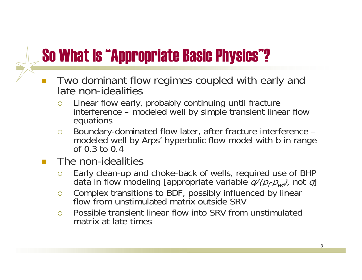#### So What Is "Appropriate Basic Physics"?

- Two dominant flow regimes coupled with early and late non-idealities
	- $\overline{O}$  Linear flow early, probably continuing until fracture interference – modeled well by simple transient linear flow equations
	- $\circ$  Boundary-dominated flow later, after fracture interference – modeled well by Arps' hyperbolic flow model with b in range of  $0.3$  to  $0.4$
- $\Box$  The non-idealities
	- $\circ$ Early clean-up and choke-back of wells, required use of BHP<br>data in flow modeling [appropriate variable  $q/(p_i-p_{wfs})$ , not  $q$ ]
	- $\circ$  Complex transitions to BDF, possibly influenced by linear flow from unstimulated matrix outside SRV
	- $\bigcap$  Possible transient linear flow into SRV from unstimulated matrix at late times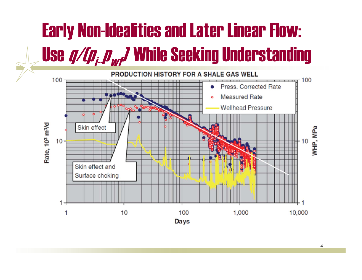## Early Non-Idealities and Later Linear Flow: Use  $q/Ip_{i\mu}p_{wf}$ ) While Seeking Understanding

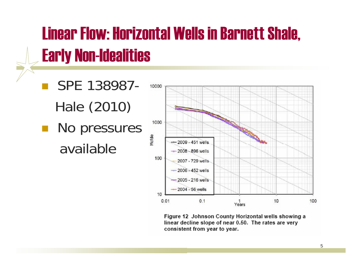#### Linear Flow: Horizontal Wells in Barnett Shale, Early Non-Idealities

- SPE 138987-Hale (2010)
- No pressures available



Figure 12 Johnson County Horizontal wells showing a linear decline slope of near 0.50. The rates are very consistent from year to year.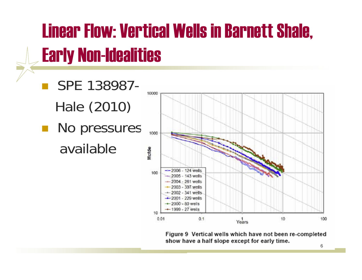### Linear Flow: Vertical Wells in Barnett Shale, Early Non-Idealities

- SPE 138987-Hale (2010)
- No pressures available



Figure 9 Vertical wells which have not been re-completed show have a half slope except for early time.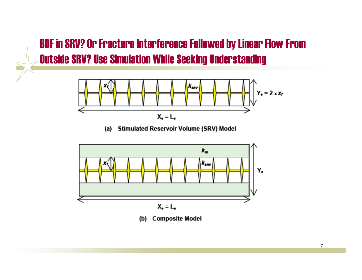BDF in SRV? Or Fracture Interference Followed by Linear Flow From Outside SRV? Use Simulation While Seeking Understanding



**Stimulated Reservoir Volume (SRV) Model**  $(a)$ 



7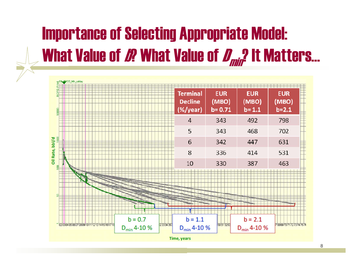### Importance of Selecting Appropriate Model: What Value of  $\emph{D}$  What Value of  $\emph{D}_{\emph{mir}}$ ? It Matters...



8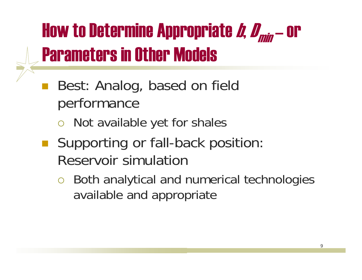How to Determine Appropriate *b, D<sub>min</sub>* – or Parameters in Other Models

- Best: Analog, based on field performance
	- Not available yet for shales
- Supporting or fall-back position: Reservoir simulation
	- $\bigcirc$  Both analytical and numerical technologies available and appropriate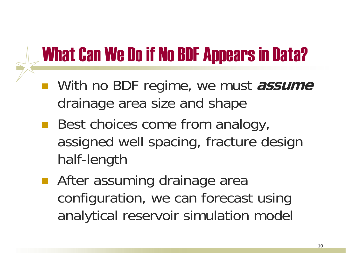### What Can We Do if No BDF Appears in Data?

- With no BDF regime, we must **assume** drainage area size and shape
- **Best choices come from analogy,** assigned well spacing, fracture design half-length
- **After assuming drainage area** configuration, we can forecast using analytical reservoir simulation model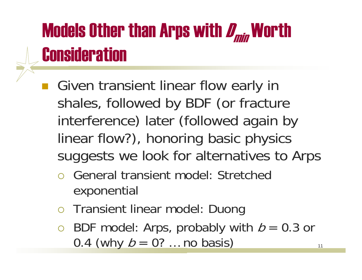## Models Other than Arps with  $\mathscr{D}_{\hspace{-0.5pt}m\hspace{-0.5pt}m\hspace{-0.5pt}m}$  Worth Consideration

- Given transient linear flow early in shales, followed by BDF (or fracture interference) later (followed again by linear flow?), honoring basic physics suggests we look for alternatives to Arps
	- $\bigcirc$  General transient model: Stretched exponential
	- o Transient linear model: Duong
	- $\circ$  BDF model: Arps, probably with  $b = 0.3$  or 0.4 (why  $b = 0$ ? ... no basis) 11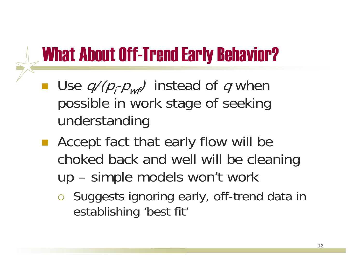### What About Off-Trend Early Behavior?

- Use  $q/(p_i-p_{w_i})$  instead of q when possible in work stage of seeking understanding
- Accept fact that early flow will be choked back and well will be cleaning up – simple models won't work
	- o Suggests ignoring early, off-trend data in establishing 'best fit'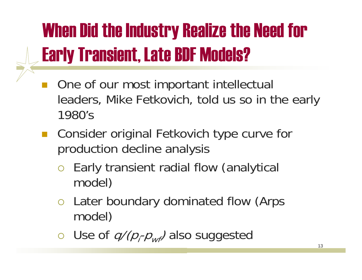# When Did the Industry Realize the Need for Early Transient, Late BDF Models?

- One of our most important intellectual leaders, Mike Fetkovich, told us so in the early 1980's
- Consider original Fetkovich type curve for production decline analysis
	- $\bigcirc$  Early transient radial flow (analytical model)
	- Later boundary dominated flow (Arps model)
	- o Use of  $q/(p_i-p_{wfs})$  also suggested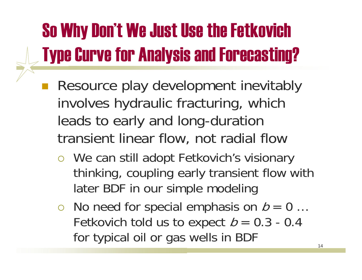# So Why Don't We Just Use the Fetkovich Type Curve for Analysis and Forecasting?

- Resource play development inevitably involves hydraulic fracturing, which leads to early and long-duration transient linear flow, not radial flow
	- We can still adopt Fetkovich's visionary thinking, coupling early transient flow with later BDF in our simple modeling
	- $\circ$  No need for special emphasis on  $b = 0 ...$ Fetkovich told us to expect  $b$  = 0.3 - 0.4  $\,$ for typical oil or gas wells in BDF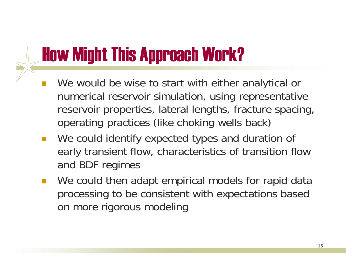### How Might This Approach Work?

- We would be wise to start with either analytical or numerical reservoir simulation, using representative reservoir properties, lateral lengths, fracture spacing, operating practices (like choking wells back)
- We could identify expected types and duration of early transient flow, characteristics of transition flow and BDF regimes
- We could then adapt empirical models for rapid data processing to be consistent with expectations based on more rigorous modeling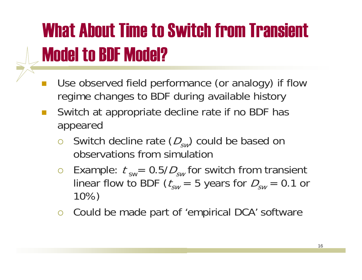## What About Time to Switch from Transient Model to BDF Model?

- Use observed field performance (or analogy) if flow regime changes to BDF during available history
- Π Switch at appropriate decline rate if no BDF has appeared
	- $\overline{O}$  $\circ$  Switch decline rate  $(D_{sw})$  could be based on observations from simulation
	- $\circ$  Example:  $t_{sw}$  = 0.5/ $D_{sw}$  for switch from transient linear flow to BDF ( $t_{sw}$  = 5 years for  $D_{sw}$  = 0.1 or 10%)
	- $\bigcirc$ Could be made part of 'empirical DCA' software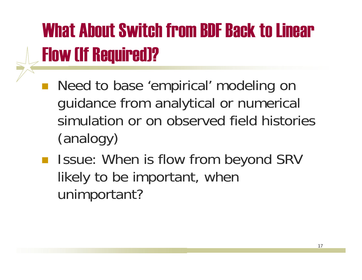## What About Switch from BDF Back to Linear Flow (If Required)?

- Need to base 'empirical' modeling on guidance from analytical or numerical simulation or on observed field histories (analogy)
- Issue: When is flow from beyond SRV likely to be important, when unimportant?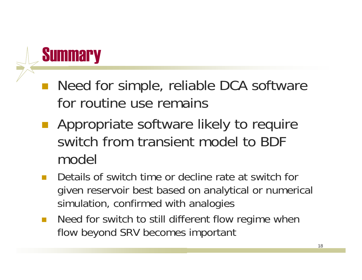

- Need for simple, reliable DCA software for routine use remains
- **Appropriate software likely to require** switch from transient model to BDF model
- Details of switch time or decline rate at switch for given reservoir best based on analytical or numerical simulation, confirmed with analogies
- $\Box$  Need for switch to still different flow regime when flow beyond SRV becomes important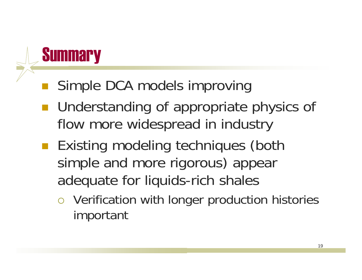

- Simple DCA models improving
- Understanding of appropriate physics of flow more widespread in industry
- **Existing modeling techniques (both** simple and more rigorous) appear adequate for liquids-rich shales
	- Verification with longer production histories important